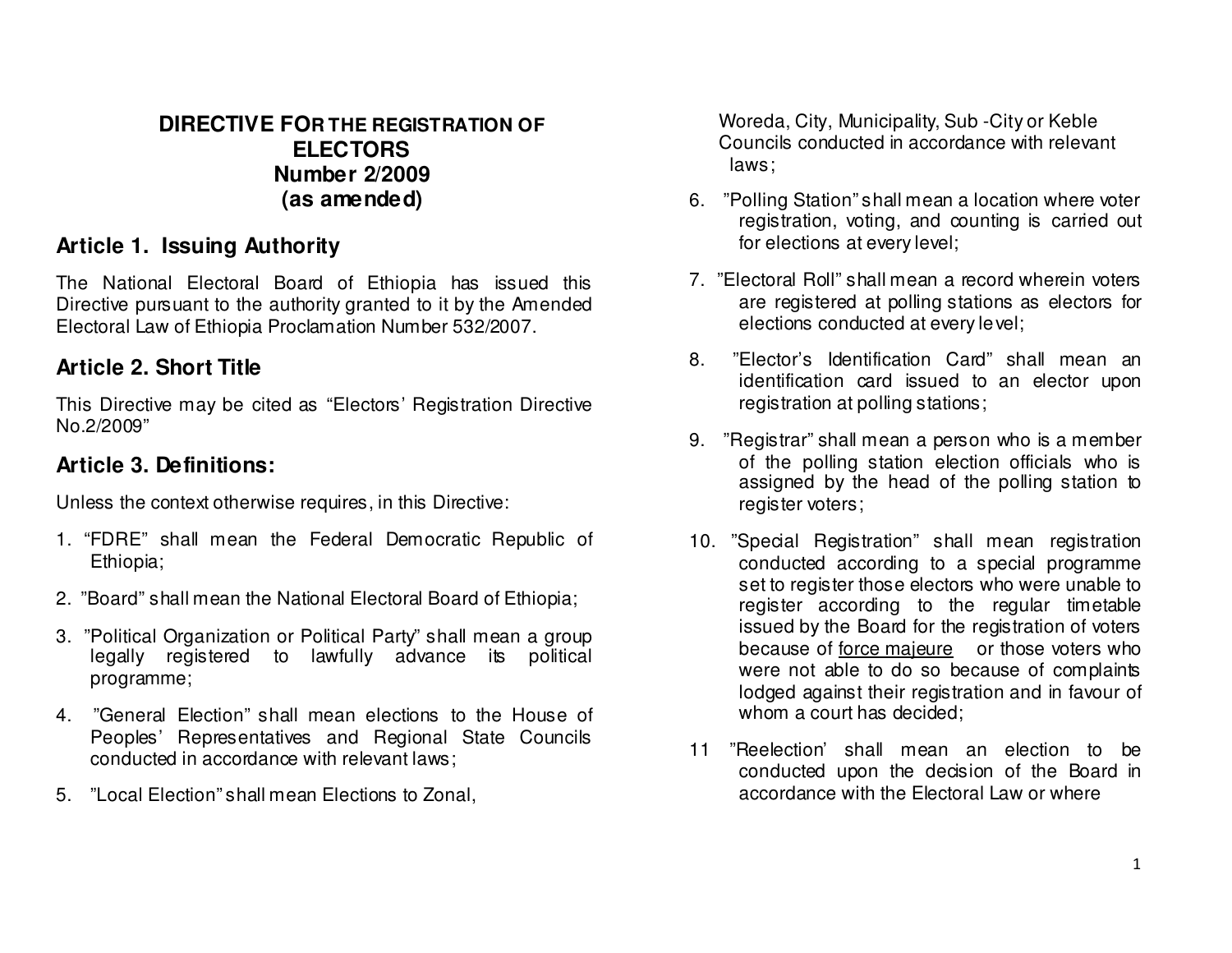#### **DIRECTIVE FOR THE REGISTRATION OF ELECTORS Number 2/2009 (as amended)**

### **Article 1. Issuing Authority**

The National Electoral Board of Ethiopia has issued this Directive pursuant to the authority granted to it by the Amended Electoral Law of Ethiopia Proclamation Number 532/2007.

#### **Article 2. Short Title**

This Directive may be cited as "Electors' Registration Directive No.2/2009"

#### **Article 3. Definitions:**

Unless the context otherwise requires, in this Directive:

- 1. "FDRE" shall mean the Federal Democratic Republic of Ethiopia;
- 2. "Board" shall mean the National Electoral Board of Ethiopia;
- 3. "Political Organization or Political Party" shall mean a group legally registered to lawfully advance its political programme;
- 4. "General Election" shall mean elections to the House of Peoples' Representatives and Regional State Councils conducted in accordance with relevant laws;
- 5. "Local Election" shall mean Elections to Zonal,

 Woreda, City, Municipality, Sub -City or Keble Councils conducted in accordance with relevant laws;

- 6. "Polling Station" shall mean a location where voter registration, voting, and counting is carried out for elections at every level;
- 7. "Electoral Roll" shall mean a record wherein voters are registered at polling stations as electors for elections conducted at every level;
- 8. "Elector's Identification Card" shall mean an identification card issued to an elector upon registration at polling stations;
- 9. "Registrar" shall mean a person who is a member of the polling station election officials who is assigned by the head of the polling station to register voters;
- 10. "Special Registration" shall mean registration conducted according to a special programme set to register those electors who were unable to register according to the regular timetable issued by the Board for the registration of voters because of force majeure or those voters who were not able to do so because of complaints lodged against their registration and in favour of whom a court has decided;
- 11 "Reelection' shall mean an election to be conducted upon the decision of the Board in accordance with the Electoral Law or where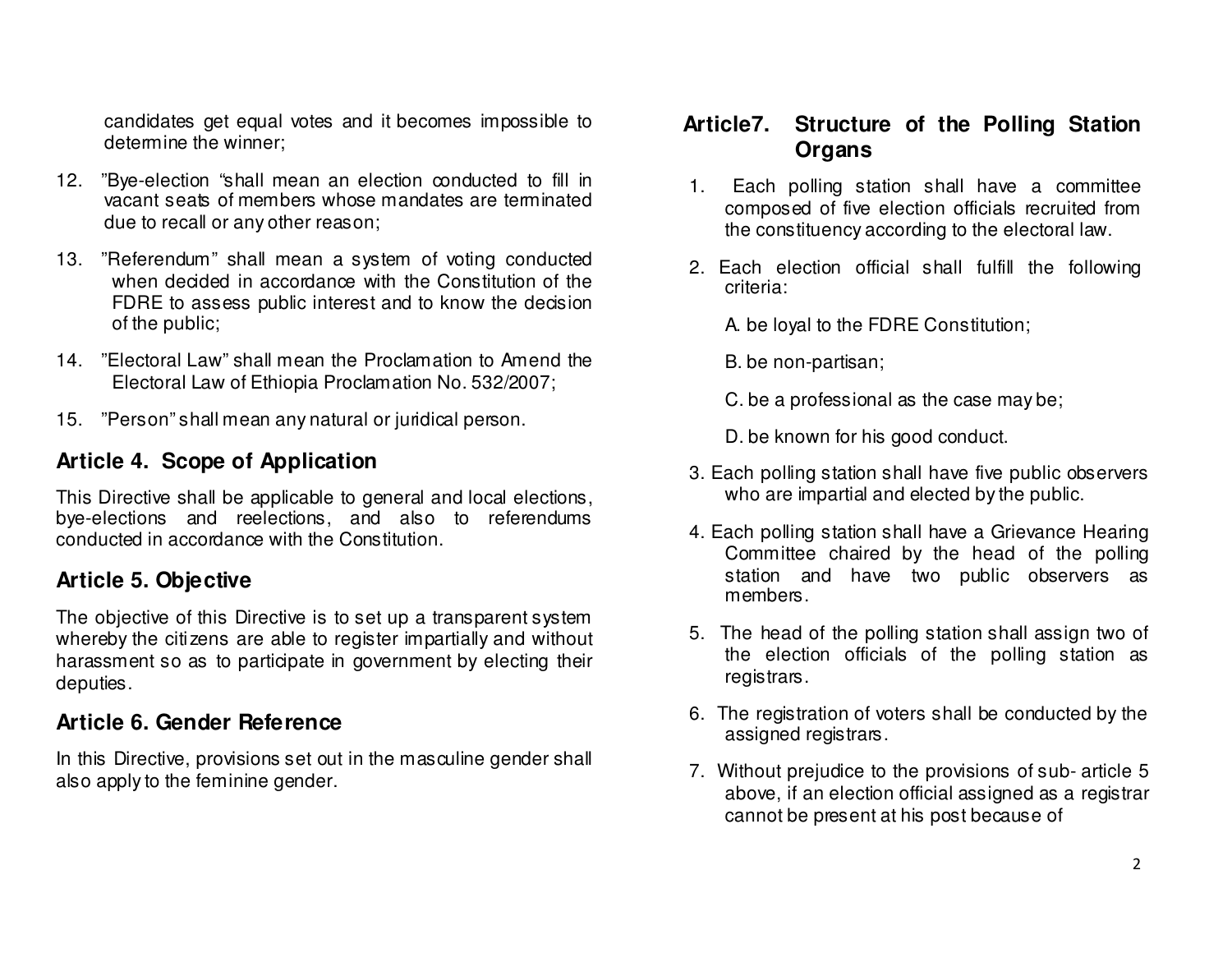candidates get equal votes and it becomes impossible to determine the winner;

- 12. "Bye-election "shall mean an election conducted to fill in vacant seats of members whose mandates are terminated due to recall or any other reason;
- 13. "Referendum" shall mean a system of voting conducted when decided in accordance with the Constitution of the FDRE to assess public interest and to know the decision of the public;
- 14. "Electoral Law" shall mean the Proclamation to Amend the Electoral Law of Ethiopia Proclamation No. 532/2007;
- 15. "Person" shall mean any natural or juridical person.

#### **Article 4. Scope of Application**

This Directive shall be applicable to general and local elections, bye-elections and reelections, and also to referendums conducted in accordance with the Constitution.

#### **Article 5. Objective**

The objective of this Directive is to set up a transparent system whereby the citizens are able to register impartially and without harassment so as to participate in government by electing their deputies.

#### **Article 6. Gender Reference**

In this Directive, provisions set out in the masculine gender shall also apply to the feminine gender.

### **Article7. Structure of the Polling Station Organs**

- 1. Each polling station shall have a committee composed of five election officials recruited from the constituency according to the electoral law.
- 2. Each election official shall fulfill the following criteria:
	- A. be loyal to the FDRE Constitution;
	- B. be non-partisan;
	- C. be a professional as the case may be;
	- D. be known for his good conduct.
- 3. Each polling station shall have five public observers who are impartial and elected by the public.
- 4. Each polling station shall have a Grievance Hearing Committee chaired by the head of the polling station and have two public observers as members.
- 5. The head of the polling station shall assign two of the election officials of the polling station as registrars.
- 6. The registration of voters shall be conducted by the assigned registrars.
- 7. Without prejudice to the provisions of sub- article 5 above, if an election official assigned as a registrar cannot be present at his post because of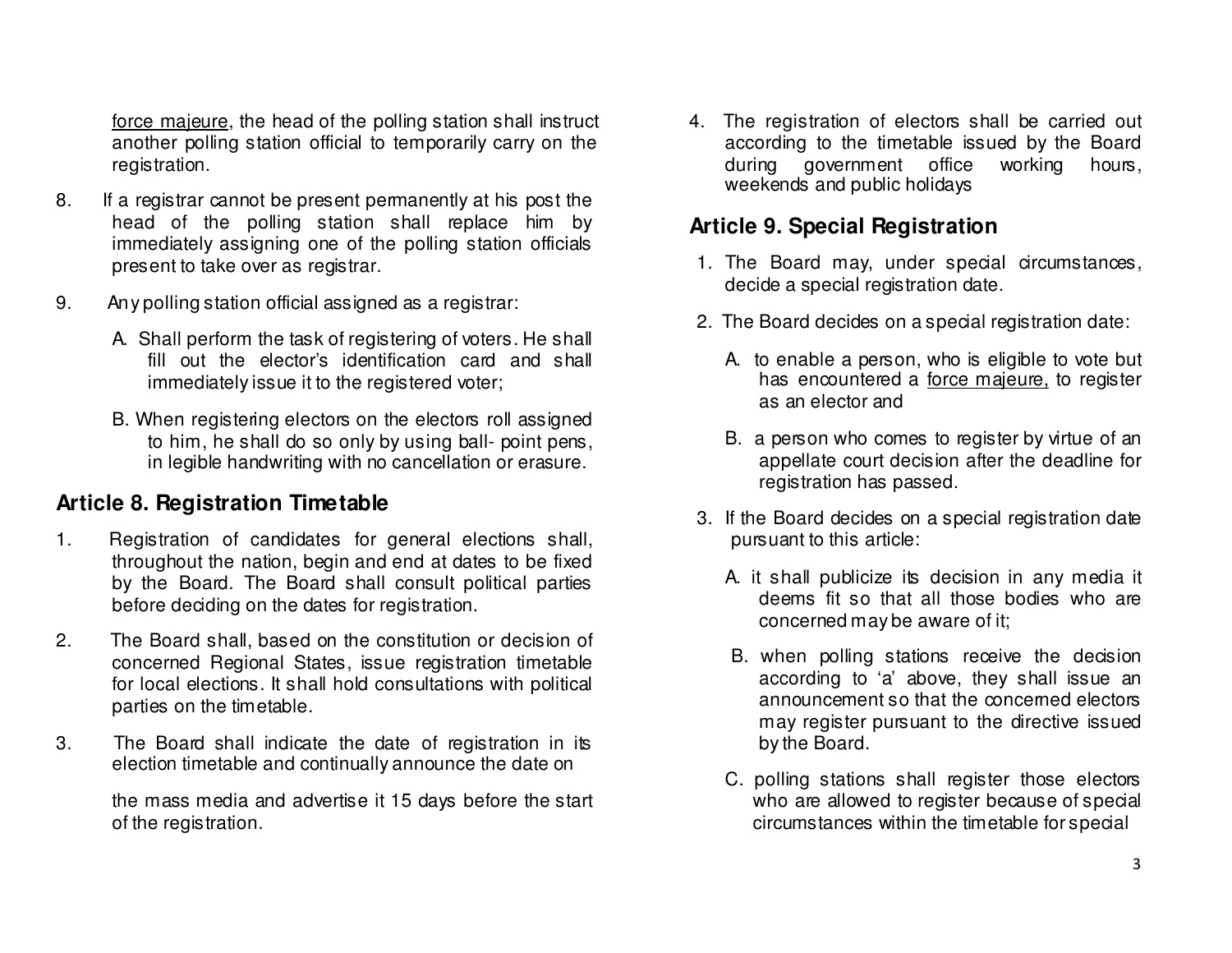force majeure, the head of the polling station shall instruct another polling station official to temporarily carry on the registration.

- 8. If a registrar cannot be present permanently at his post the head of the polling station shall replace him by immediately assigning one of the polling station officials present to take over as registrar.
- 9. Any polling station official assigned as a registrar:
	- A. Shall perform the task of registering of voters. He shall fill out the elector's identification card and shall immediately issue it to the registered voter;
	- B. When registering electors on the electors roll assigned to him, he shall do so only by using ball- point pens, in legible handwriting with no cancellation or erasure.

### **Article 8. Registration Timetable**

- 1. Registration of candidates for general elections shall, throughout the nation, begin and end at dates to be fixed by the Board. The Board shall consult political parties before deciding on the dates for registration.
- 2. The Board shall, based on the constitution or decision of concerned Regional States, issue registration timetable for local elections. It shall hold consultations with political parties on the timetable.
- 3. The Board shall indicate the date of registration in its election timetable and continually announce the date on

the mass media and advertise it 15 days before the start of the registration.

4. The registration of electors shall be carried out according to the timetable issued by the Board during government office working hours, weekends and public holidays

# **Article 9. Special Registration**

- 1. The Board may, under special circumstances, decide a special registration date.
- 2. The Board decides on a special registration date:
	- A. to enable a person, who is eligible to vote buthas encountered a force majeure, to register as an elector and
	- B. a person who comes to register by virtue of an appellate court decision after the deadline for registration has passed.
- 3. If the Board decides on a special registration date pursuant to this article:
	- A. it shall publicize its decision in any media it deems fit so that all those bodies who are concerned may be aware of it;
	- B. when polling stations receive the decision according to 'a' above, they shall issue an announcement so that the concerned electors may register pursuant to the directive issued by the Board.
	- C. polling stations shall register those electors who are allowed to register because of special circumstances within the timetable for special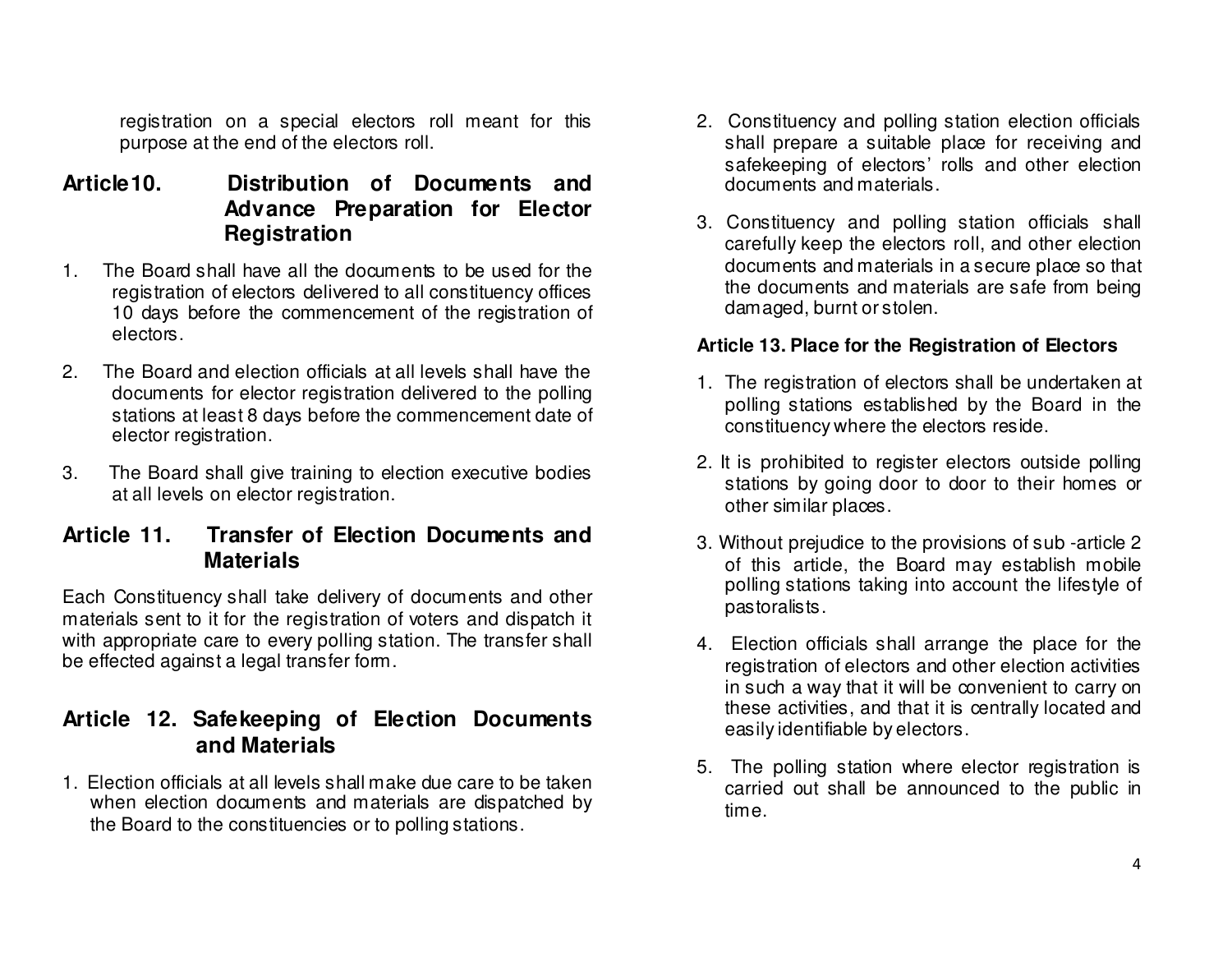registration on a special electors roll meant for this purpose at the end of the electors roll.

- **Article10. Distribution of Documents and Advance Preparation for Elector Registration**
- 1. The Board shall have all the documents to be used for the registration of electors delivered to all constituency offices 10 days before the commencement of the registration of electors.
- 2. The Board and election officials at all levels shall have the documents for elector registration delivered to the polling stations at least 8 days before the commencement date of elector registration.
- 3. The Board shall give training to election executive bodies at all levels on elector registration.

#### **Article 11. Transfer of Election Documents and Materials**

Each Constituency shall take delivery of documents and other materials sent to it for the registration of voters and dispatch it with appropriate care to every polling station. The transfer shall be effected against a legal transfer form.

### **Article 12. Safekeeping of Election Documents and Materials**

1. Election officials at all levels shall make due care to be taken when election documents and materials are dispatched by the Board to the constituencies or to polling stations.

- 2. Constituency and polling station election officials shall prepare a suitable place for receiving and safekeeping of electors' rolls and other election documents and materials.
- 3. Constituency and polling station officials shall carefully keep the electors roll, and other election documents and materials in a secure place so that the documents and materials are safe from being damaged, burnt or stolen.

#### **Article 13. Place for the Registration of Electors**

- 1. The registration of electors shall be undertaken at polling stations established by the Board in the constituency where the electors reside.
- 2. It is prohibited to register electors outside polling stations by going door to door to their homes or other similar places.
- 3. Without prejudice to the provisions of sub -article 2 of this article, the Board may establish mobile polling stations taking into account the lifestyle of pastoralists.
- 4. Election officials shall arrange the place for the registration of electors and other election activities in such a way that it will be convenient to carry on these activities, and that it is centrally located and easily identifiable by electors.
- 5. The polling station where elector registration is carried out shall be announced to the public in time.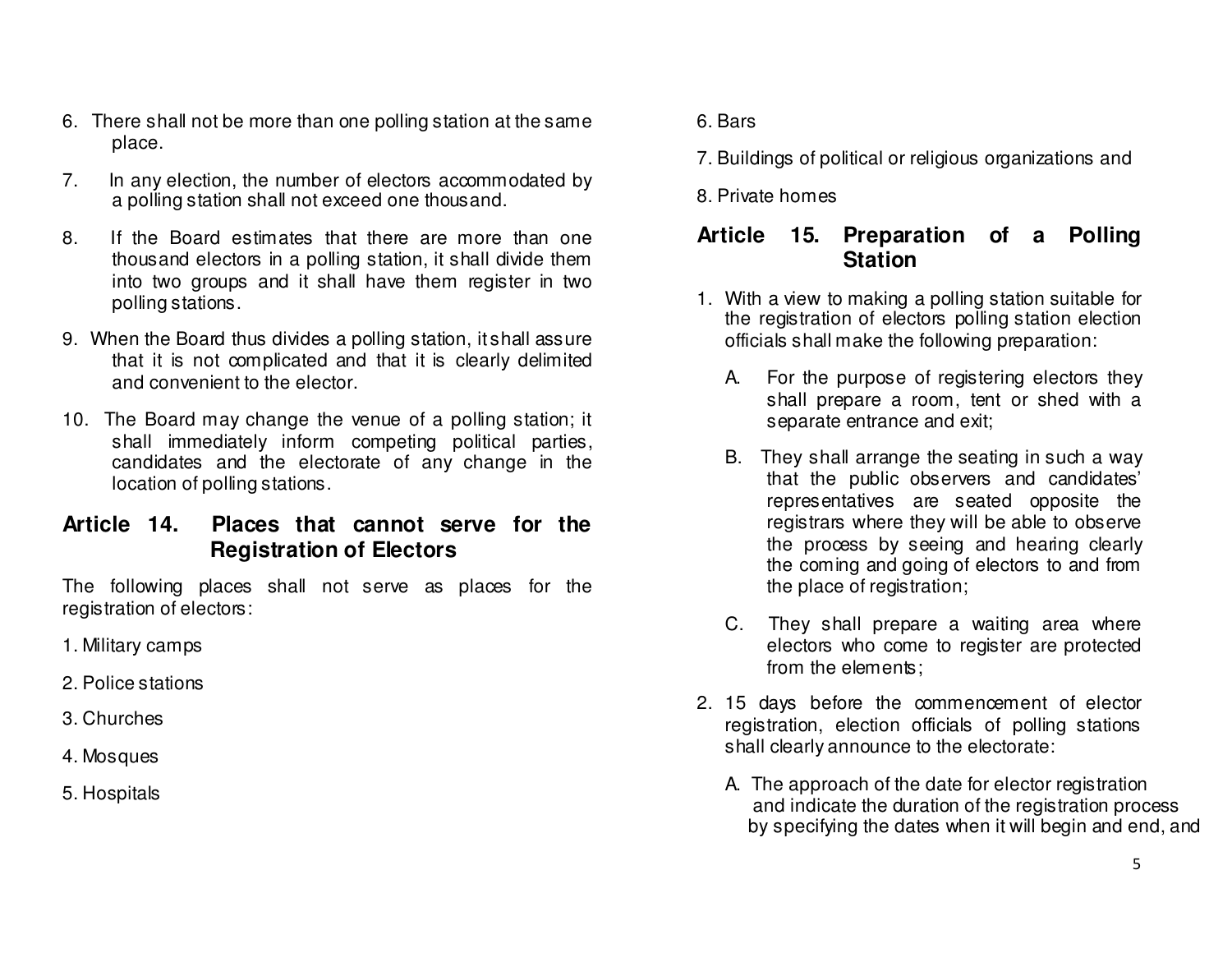- 6. There shall not be more than one polling station at the same place.
- 7. In any election, the number of electors accommodated by a polling station shall not exceed one thousand.
- 8. If the Board estimates that there are more than one thousand electors in a polling station, it shall divide them into two groups and it shall have them register in two polling stations.
- 9. When the Board thus divides a polling station, it shall assure that it is not complicated and that it is clearly delimited and convenient to the elector.
- 10. The Board may change the venue of a polling station; it shall immediately inform competing political parties, candidates and the electorate of any change in the location of polling stations.

### **Article 14. Places that cannot serve for the Registration of Electors**

The following places shall not serve as places for the registration of electors:

- 1. Military camps
- 2. Police stations
- 3. Churches
- 4. Mosques
- 5. Hospitals
- 6. Bars
- 7. Buildings of political or religious organizations and
- 8. Private homes

### **Article 15. Preparation of a Polling Station**

- 1. With a view to making a polling station suitable for the registration of electors polling station election officials shall make the following preparation:
	- A. For the purpose of registering electors they shall prepare a room, tent or shed with a separate entrance and exit;
	- B. They shall arrange the seating in such a way that the public observers and candidates' representatives are seated opposite the registrars where they will be able to observe the process by seeing and hearing clearly the coming and going of electors to and from the place of registration;
	- C. They shall prepare a waiting area where electors who come to register are protected from the elements;
- 2. 15 days before the commencement of elector registration, election officials of polling stations shall clearly announce to the electorate:
- A. The approach of the date for elector registration and indicate the duration of the registration process by specifying the dates when it will begin and end, and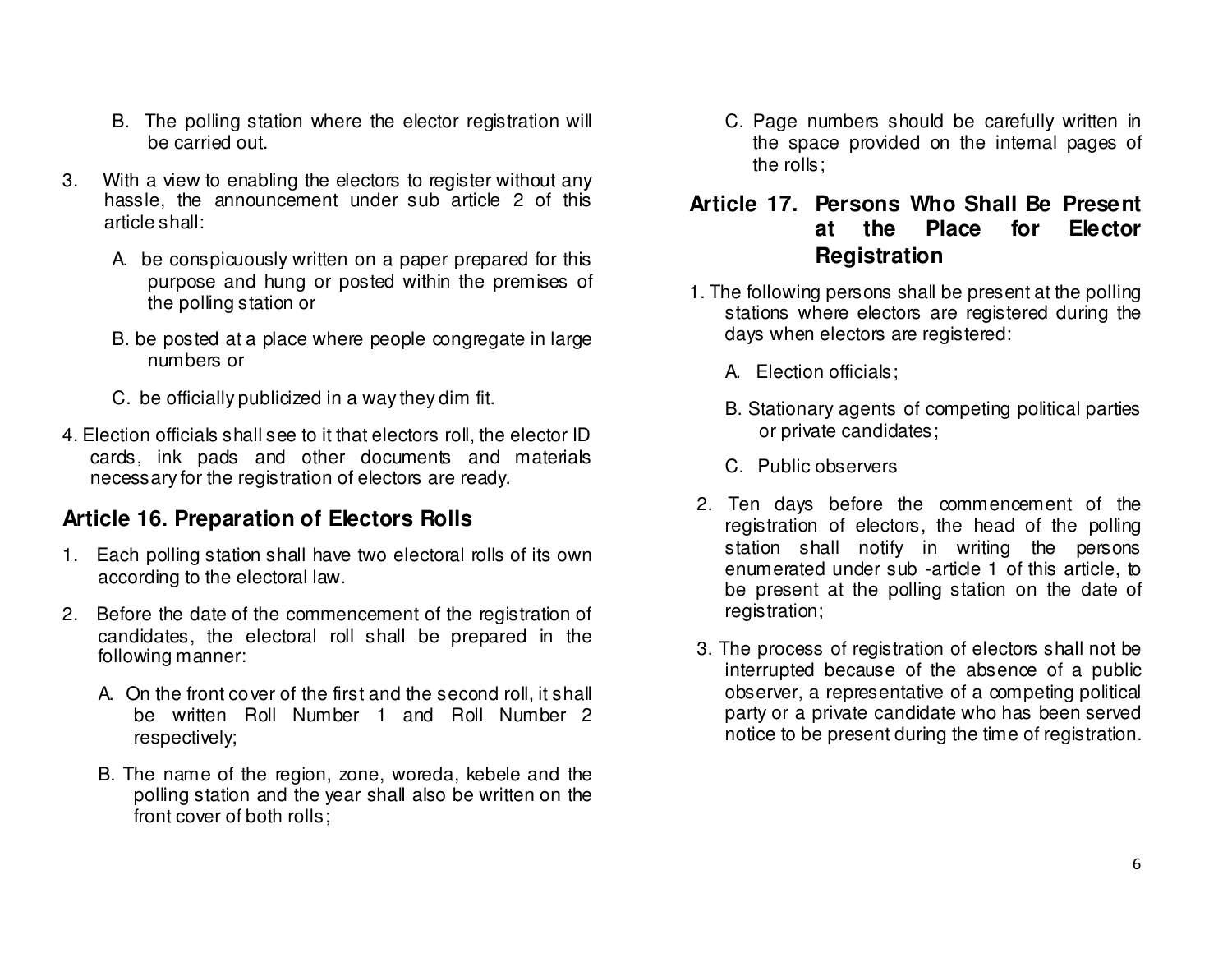- B. The polling station where the elector registration will be carried out.
- 3. With a view to enabling the electors to register without any hassle, the announcement under sub article 2 of this article shall:
	- A. be conspicuously written on a paper prepared for this purpose and hung or posted within the premises of the polling station or
	- B. be posted at a place where people congregate in large numbers or
	- C. be officially publicized in a way they dim fit.
- 4. Election officials shall see to it that electors roll, the elector ID cards, ink pads and other documents and materials necessary for the registration of electors are ready.

### **Article 16. Preparation of Electors Rolls**

- 1. Each polling station shall have two electoral rolls of its own according to the electoral law.
- 2. Before the date of the commencement of the registration of candidates, the electoral roll shall be prepared in the following manner:
	- A. On the front cover of the first and the second roll, it shall be written Roll Number 1 and Roll Number 2 respectively;
	- B. The name of the region, zone, woreda, kebele and the polling station and the year shall also be written on the front cover of both rolls;

C. Page numbers should be carefully written in the space provided on the internal pages of the rolls;

#### **Article 17. Persons Who Shall Be Present at the Place for Elector Registration**

- 1. The following persons shall be present at the polling stations where electors are registered during the days when electors are registered:
	- A. Election officials;
	- B. Stationary agents of competing political partiesor private candidates;
	- C. Public observers
- 2. Ten days before the commencement of the registration of electors, the head of the polling station shall notify in writing the persons enumerated under sub -article 1 of this article, to be present at the polling station on the date of registration;
- 3. The process of registration of electors shall not be interrupted because of the absence of a public observer, a representative of a competing political party or a private candidate who has been served notice to be present during the time of registration.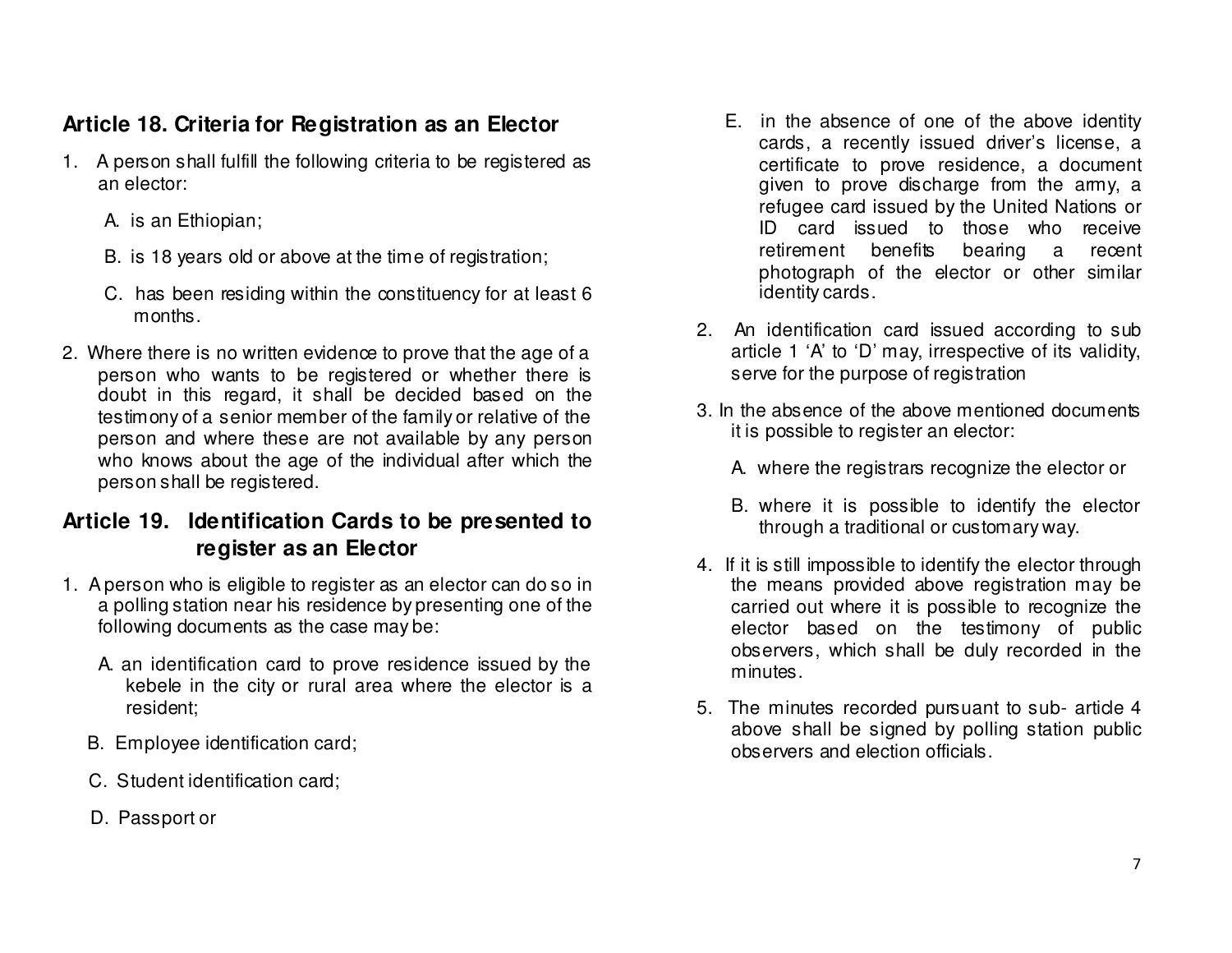# **Article 18. Criteria for Registration as an Elector**

- 1. A person shall fulfill the following criteria to be registered as an elector:
	- A. is an Ethiopian;
	- B. is 18 years old or above at the time of registration;
	- C. has been residing within the constituency for at least 6 months.
- 2. Where there is no written evidence to prove that the age of a person who wants to be registered or whether there is doubt in this regard, it shall be decided based on the testimony of a senior member of the family or relative of the person and where these are not available by any person who knows about the age of the individual after which the person shall be registered.

# **Article 19. Identification Cards to be presented to register as an Elector**

- 1. A person who is eligible to register as an elector can do so in a polling station near his residence by presenting one of the following documents as the case may be:
	- A. an identification card to prove residence issued by the kebele in the city or rural area where the elector is a resident;
	- B. Employee identification card;
	- C. Student identification card;
	- D. Passport or
- E. in the absence of one of the above identity cards, a recently issued driver's license, a certificate to prove residence, a document given to prove discharge from the army, a refugee card issued by the United Nations or ID card issued to those who receive retirement benefits bearing a recent photograph of the elector or other similar identity cards.
- 2. An identification card issued according to sub article 1 'A' to 'D' may, irrespective of its validity, serve for the purpose of registration
- 3. In the absence of the above mentioned documents it is possible to register an elector:
	- A. where the registrars recognize the elector or
	- B. where it is possible to identify the elector through a traditional or customary way.
- 4. If it is still impossible to identify the elector through the means provided above registration may be carried out where it is possible to recognize the elector based on the testimony of public observers, which shall be duly recorded in the minutes.
- 5. The minutes recorded pursuant to sub- article 4 above shall be signed by polling station public observers and election officials.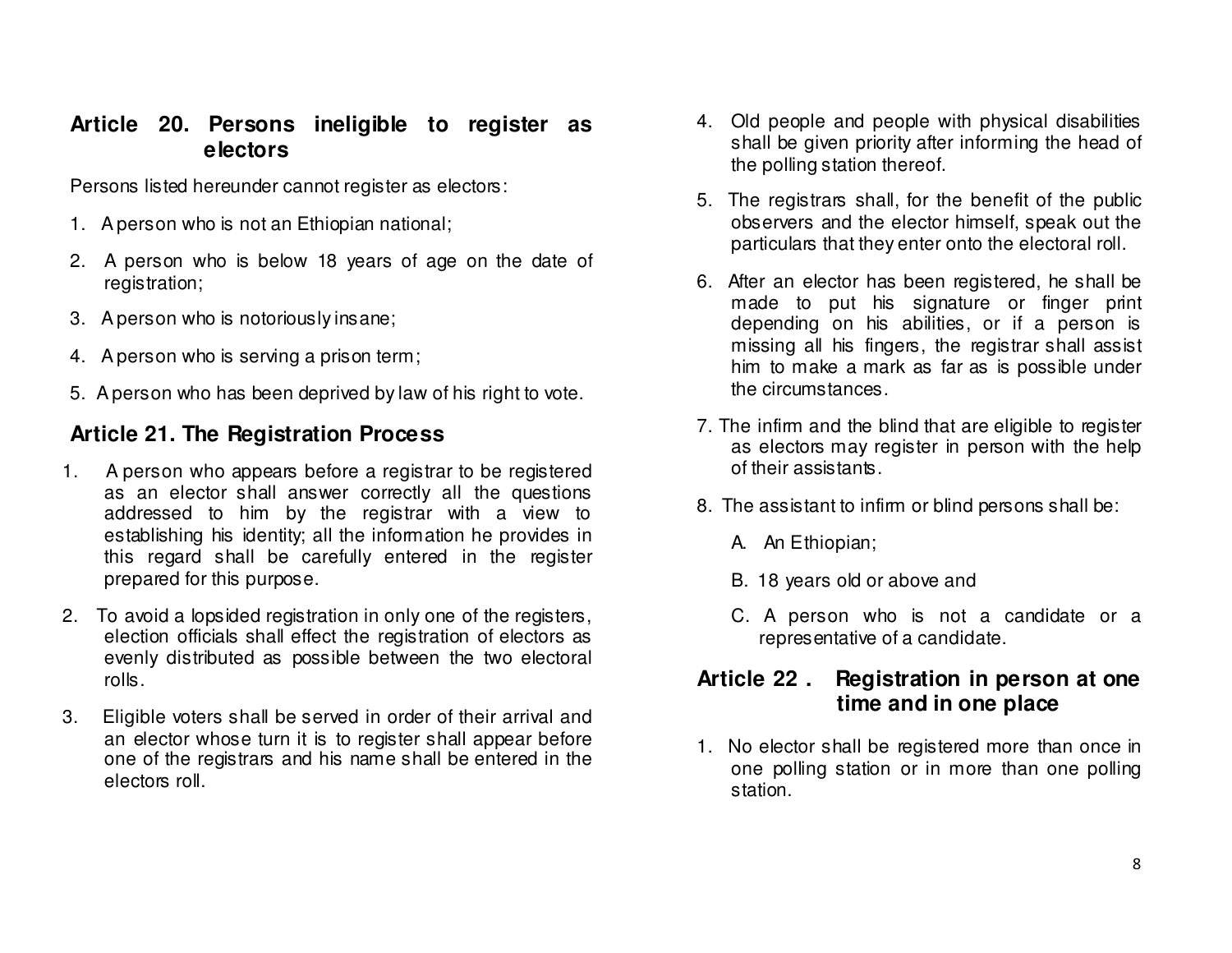### **Article 20. Persons ineligible to register as electors**

Persons listed hereunder cannot register as electors:

- 1. A person who is not an Ethiopian national;
- 2. A person who is below 18 years of age on the date of registration;
- 3. A person who is notoriously insane;
- 4. A person who is serving a prison term;
- 5. A person who has been deprived by law of his right to vote.

# **Article 21. The Registration Process**

- 1. A person who appears before a registrar to be registered as an elector shall answer correctly all the questions addressed to him by the registrar with a view to establishing his identity; all the information he provides in this regard shall be carefully entered in the register prepared for this purpose.
- 2. To avoid a lopsided registration in only one of the registers, election officials shall effect the registration of electors as evenly distributed as possible between the two electoral rolls.
- 3. Eligible voters shall be served in order of their arrival and an elector whose turn it is to register shall appear before one of the registrars and his name shall be entered in the electors roll.
- 4. Old people and people with physical disabilities shall be given priority after informing the head ofthe polling station thereof.
- 5. The registrars shall, for the benefit of the public observers and the elector himself, speak out the particulars that they enter onto the electoral roll.
- 6. After an elector has been registered, he shall be made to put his signature or finger print depending on his abilities, or if a person is missing all his fingers, the registrar shall assist him to make a mark as far as is possible under the circumstances.
- 7. The infirm and the blind that are eligible to register as electors may register in person with the help of their assistants.
- 8. The assistant to infirm or blind persons shall be:
	- A. An Ethiopian;
	- B. 18 years old or above and
	- C. A person who is not a candidate or a representative of a candidate.

### **Article 22 . Registration in person at one time and in one place**

1. No elector shall be registered more than once in one polling station or in more than one polling station.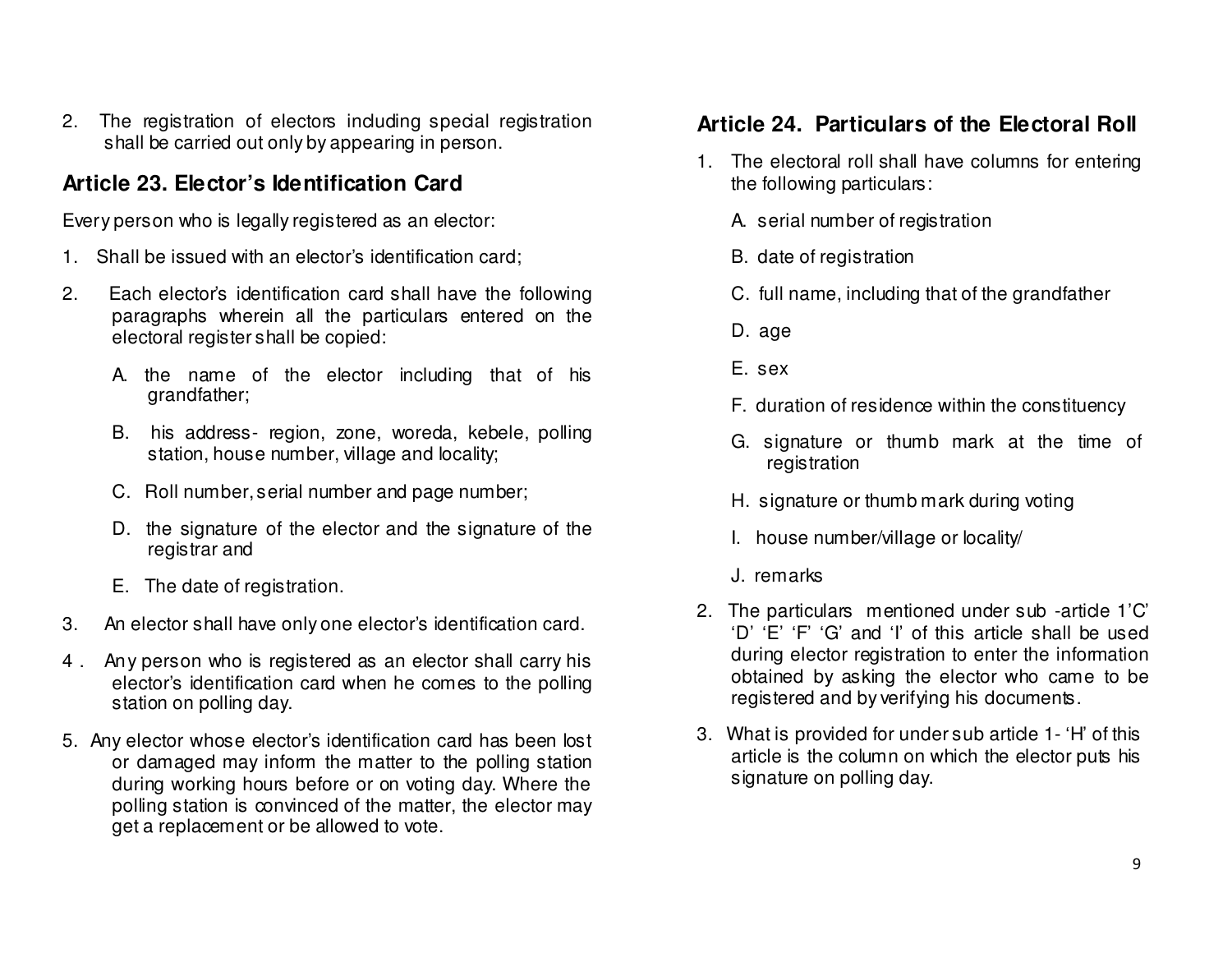2. The registration of electors including special registration shall be carried out only by appearing in person.

### **Article 23. Elector's Identification Card**

Every person who is legally registered as an elector:

- 1. Shall be issued with an elector's identification card;
- 2. Each elector's identification card shall have the following paragraphs wherein all the particulars entered on the electoral register shall be copied:
	- A. the name of the elector including that of his grandfather;
	- B. his address- region, zone, woreda, kebele, polling station, house number, village and locality;
	- C. Roll number, serial number and page number;
	- D. the signature of the elector and the signature of the registrar and
	- E. The date of registration.
- 3. An elector shall have only one elector's identification card.
- 4 . Any person who is registered as an elector shall carry his elector's identification card when he comes to the polling station on polling day.
- 5. Any elector whose elector's identification card has been lost or damaged may inform the matter to the polling station during working hours before or on voting day. Where the polling station is convinced of the matter, the elector may get a replacement or be allowed to vote.

# **Article 24. Particulars of the Electoral Roll**

- 1. The electoral roll shall have columns for entering the following particulars:
	- A. serial number of registration
	- B. date of registration
	- C. full name, including that of the grandfather
	- D. age
	- E. sex
	- F. duration of residence within the constituency
	- G. signature or thumb mark at the time of registration
	- H. signature or thumb mark during voting
	- I. house number/village or locality/
	- J. remarks
- 2. The particulars mentioned under sub -article 1'C' 'D' 'E' 'F' 'G' and 'I' of this article shall be used during elector registration to enter the information obtained by asking the elector who came to be registered and by verifying his documents.
- 3. What is provided for under sub article 1- 'H' of this article is the column on which the elector puts hissignature on polling day.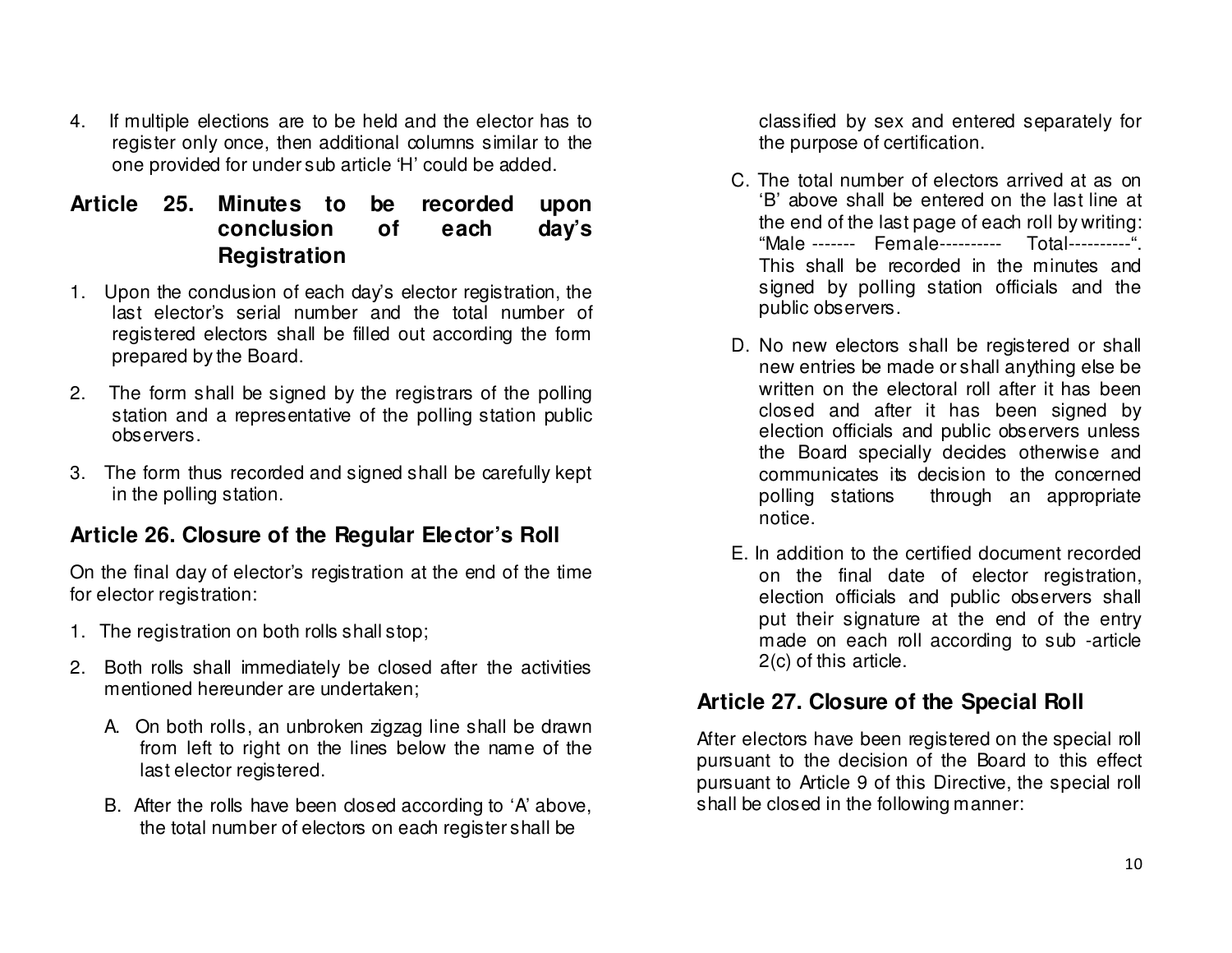4. If multiple elections are to be held and the elector has to register only once, then additional columns similar to the one provided for under sub article 'H' could be added.

### **Article 25. Minutes to be recorded upon conclusion of each day's Registration**

- 1. Upon the condusion of each day's elector registration, the last elector's serial number and the total number of registered electors shall be filled out according the form prepared by the Board.
- 2. The form shall be signed by the registrars of the polling station and a representative of the polling station public observers.
- 3. The form thus recorded and signed shall be carefully kept in the polling station.

# **Article 26. Closure of the Regular Elector's Roll**

On the final day of elector's registration at the end of the time for elector registration:

- 1. The registration on both rolls shall stop;
- 2. Both rolls shall immediately be closed after the activities mentioned hereunder are undertaken;
	- A. On both rolls, an unbroken zigzag line shall be drawn from left to right on the lines below the name of the last elector registered.
	- B. After the rolls have been closed according to 'A' above, the total number of electors on each register shall be

classified by sex and entered separately for the purpose of certification.

- C. The total number of electors arrived at as on 'B' above shall be entered on the last line at the end of the last page of each roll by writing: "Male ------- Female---------- Total----------". This shall be recorded in the minutes and signed by polling station officials and the public observers.
- D. No new electors shall be registered or shall new entries be made or shall anything else be written on the electoral roll after it has been closed and after it has been signed by election officials and public observers unless the Board specially decides otherwise and communicates its decision to the concerned polling stations through an appropriate notice.
- E. In addition to the certified document recorded on the final date of elector registration, election officials and public observers shall put their signature at the end of the entry made on each roll according to sub -article 2(c) of this article.

# **Article 27. Closure of the Special Roll**

After electors have been registered on the special roll pursuant to the decision of the Board to this effect pursuant to Article 9 of this Directive, the special roll shall be closed in the following manner: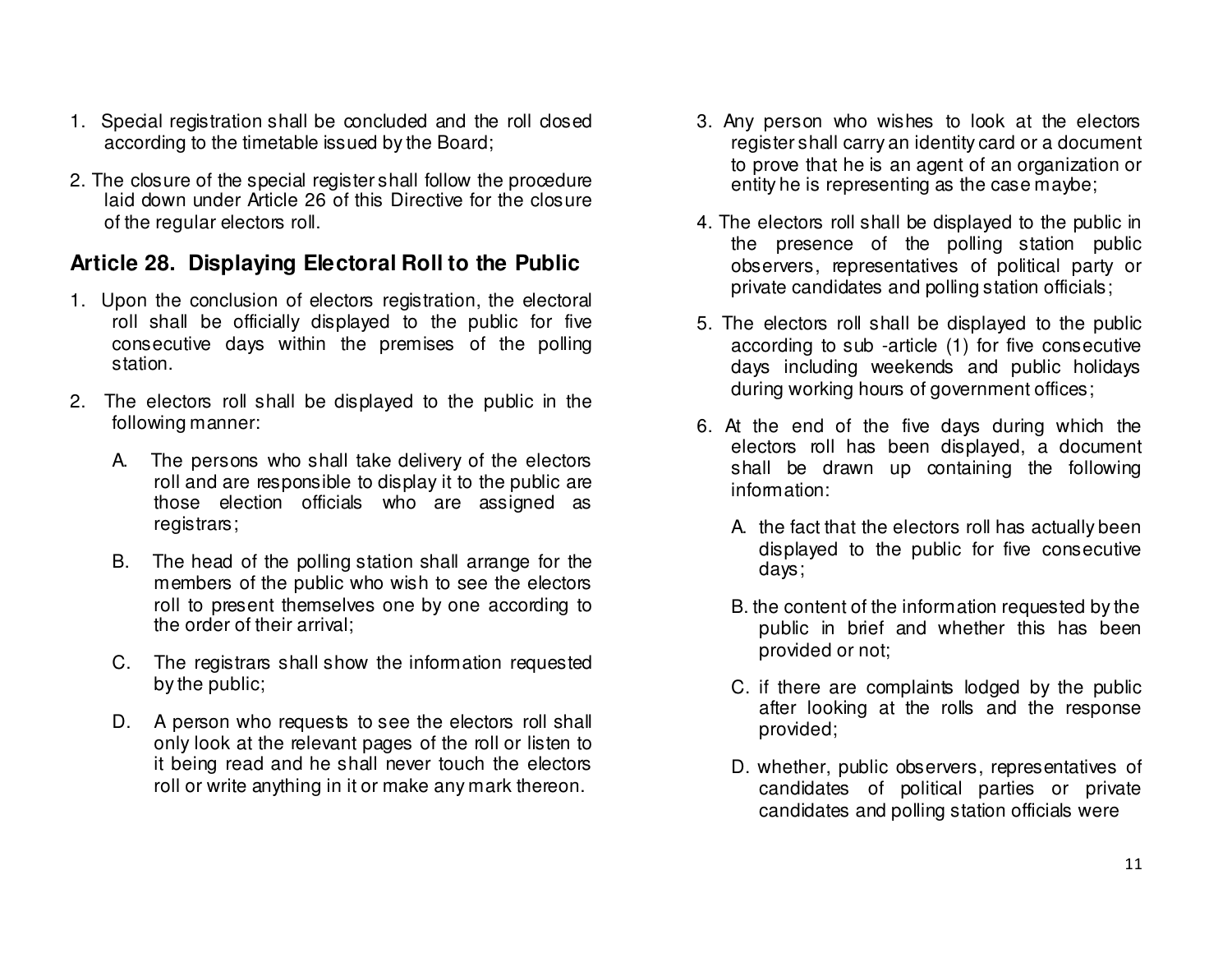- 1. Special registration shall be concluded and the roll closed according to the timetable issued by the Board;
- 2. The closure of the special register shall follow the procedure laid down under Article 26 of this Directive for the closure of the regular electors roll.

### **Article 28. Displaying Electoral Roll to the Public**

- 1. Upon the conclusion of electors registration, the electoral roll shall be officially displayed to the public for five consecutive days within the premises of the pollingstation.
- 2. The electors roll shall be displayed to the public in the following manner:
	- A. The persons who shall take delivery of the electors roll and are responsible to display it to the public are those election officials who are assigned as registrars;
	- B. The head of the polling station shall arrange for the members of the public who wish to see the electors roll to present themselves one by one according to the order of their arrival;
	- C. The registrars shall show the information requested by the public;
	- D. A person who requests to see the electors roll shall only look at the relevant pages of the roll or listen to it being read and he shall never touch the electorsroll or write anything in it or make any mark thereon.
- 3. Any person who wishes to look at the electors register shall carry an identity card or a document to prove that he is an agent of an organization or entity he is representing as the case maybe;
- 4. The electors roll shall be displayed to the public in the presence of the polling station public observers, representatives of political party or private candidates and polling station officials;
- 5. The electors roll shall be displayed to the public according to sub -article (1) for five consecutive days including weekends and public holidays during working hours of government offices;
- 6. At the end of the five days during which the electors roll has been displayed, a document shall be drawn up containing the following information:
	- A. the fact that the electors roll has actually been displayed to the public for five consecutive days;
	- B. the content of the information requested by the public in brief and whether this has been provided or not;
	- C. if there are complaints lodged by the public after looking at the rolls and the response provided;
	- D. whether, public observers, representatives of candidates of political parties or private candidates and polling station officials were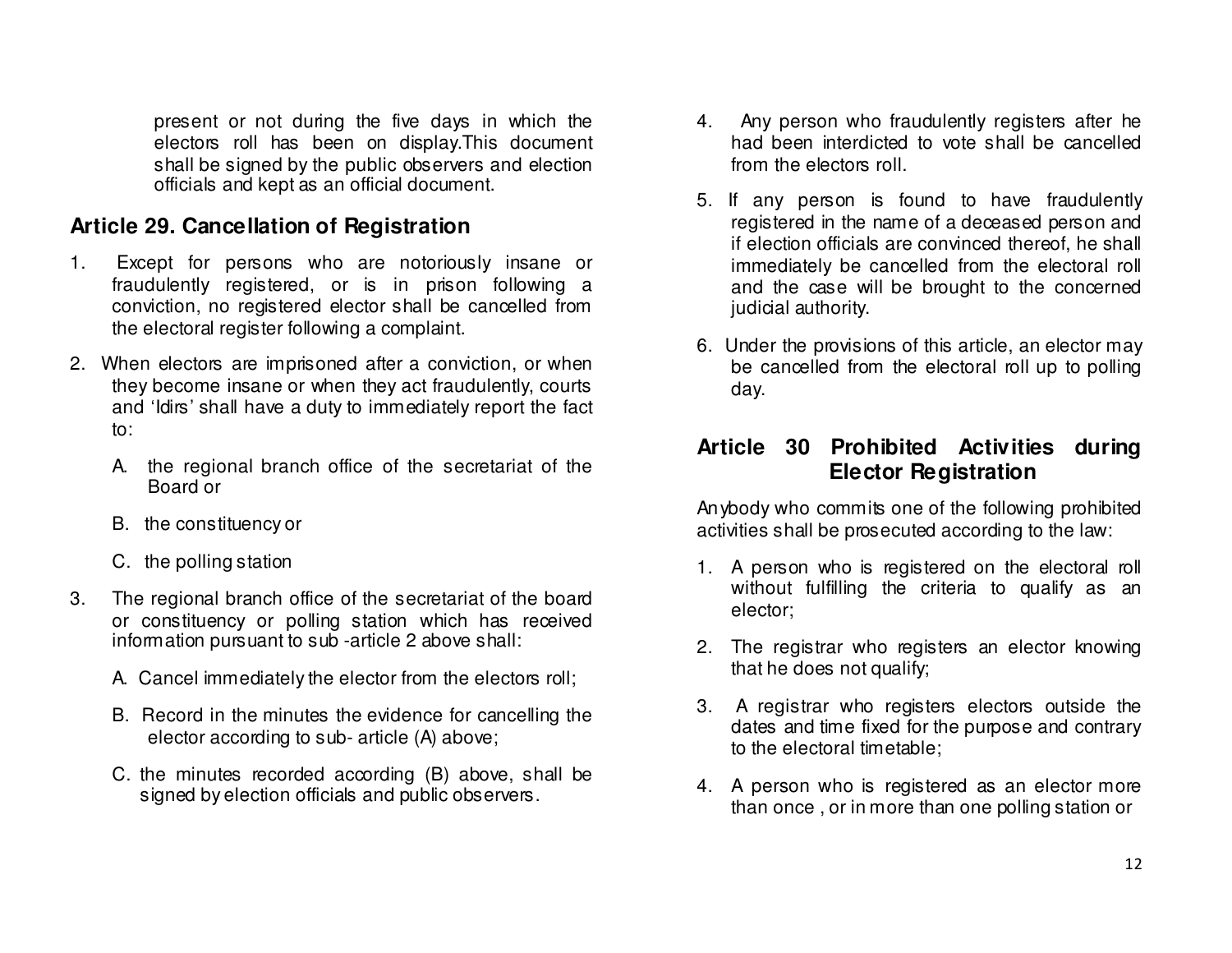present or not during the five days in which the electors roll has been on display.This document shall be signed by the public observers and election officials and kept as an official document.

# **Article 29. Cancellation of Registration**

- 1. Except for persons who are notoriously insane or fraudulently registered, or is in prison following a conviction, no registered elector shall be cancelled from the electoral register following a complaint.
- 2. When electors are imprisoned after a conviction, or when they become insane or when they act fraudulently, courts and 'Idirs' shall have a duty to immediately report the fact to:
	- A. the regional branch office of the secretariat of the Board or
	- B. the constituency or
	- C. the polling station
- 3. The regional branch office of the secretariat of the board or constituency or polling station which has received information pursuant to sub -article 2 above shall:
	- A. Cancel immediately the elector from the electors roll;
	- B. Record in the minutes the evidence for cancelling the elector according to sub- article (A) above;
	- C. the minutes recorded according (B) above, shall be signed by election officials and public observers.
- 4. Any person who fraudulently registers after he had been interdicted to vote shall be cancelled from the electors roll.
- 5. If any person is found to have fraudulently registered in the name of a deceased person and if election officials are convinced thereof, he shall immediately be cancelled from the electoral roll and the case will be brought to the concerned judicial authority.
- 6. Under the provisions of this article, an elector may be cancelled from the electoral roll up to polling day.

# **Article 30 Prohibited Activities during Elector Registration**

Anybody who commits one of the following prohibitedactivities shall be prosecuted according to the law:

- 1. A person who is registered on the electoral roll without fulfilling the criteria to qualify as an elector;
- 2. The registrar who registers an elector knowing that he does not qualify;
- 3. A registrar who registers electors outside the dates and time fixed for the purpose and contrary to the electoral timetable;
- 4. A person who is registered as an elector more than once , or in more than one polling station or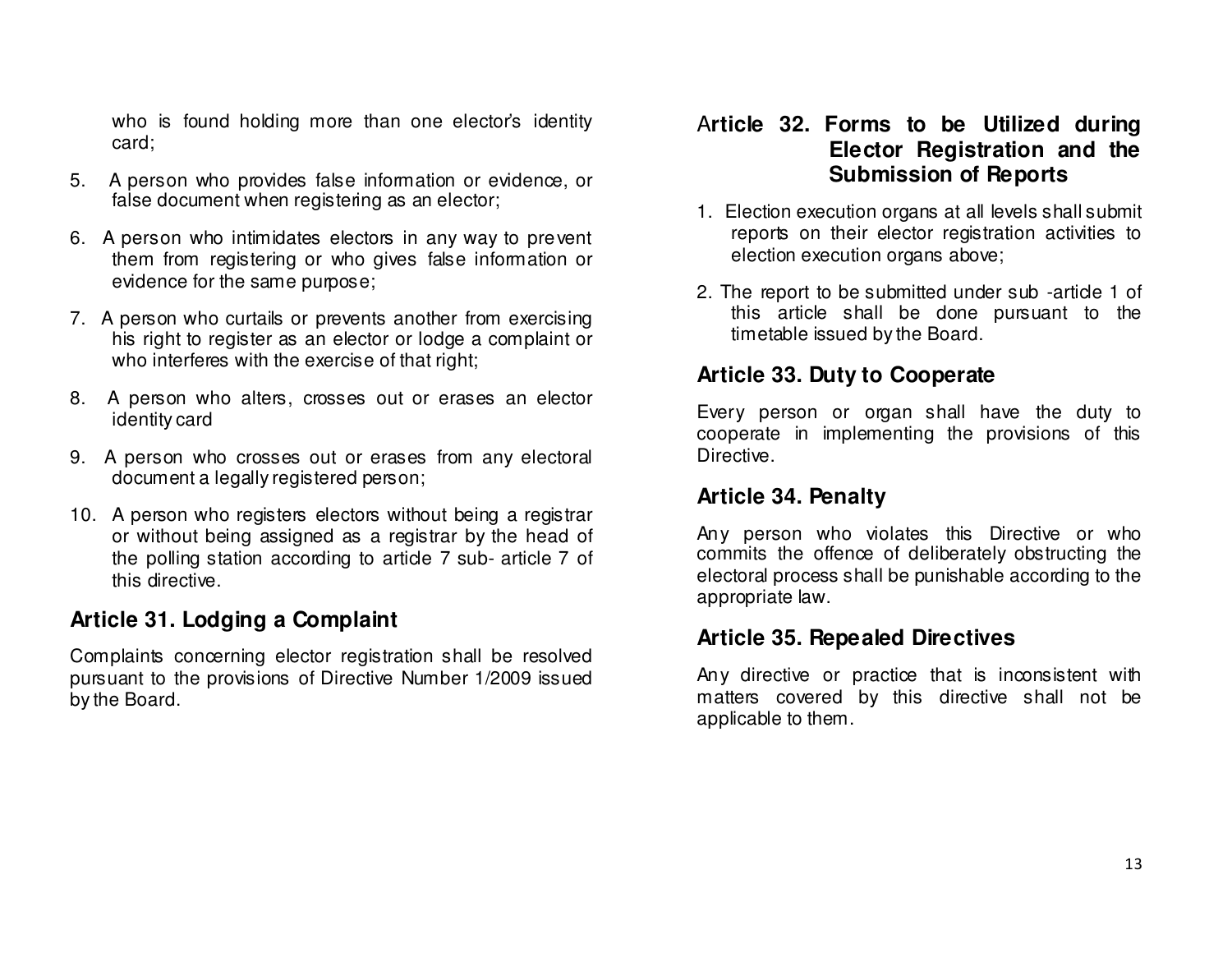who is found holding more than one elector's identity card;

- 5. A person who provides false information or evidence, or false document when registering as an elector;
- 6. A person who intimidates electors in any way to prevent them from registering or who gives false information or evidence for the same purpose;
- 7. A person who curtails or prevents another from exercising his right to register as an elector or lodge a complaint or who interferes with the exercise of that right;
- 8. A person who alters, crosses out or erases an elector identity card
- 9. A person who crosses out or erases from any electoral document a legally registered person;
- 10. A person who registers electors without being a registrar or without being assigned as a registrar by the head of the polling station according to article 7 sub- article 7 of this directive.

### **Article 31. Lodging a Complaint**

Complaints concerning elector registration shall be resolved pursuant to the provisions of Directive Number 1/2009 issued by the Board.

## A**rticle 32. Forms to be Utilized during Elector Registration and the Submission of Reports**

- 1. Election execution organs at all levels shall submit reports on their elector registration activities toelection execution organs above;
- 2. The report to be submitted under sub -article 1 of this article shall be done pursuant to the timetable issued by the Board.

# **Article 33. Duty to Cooperate**

Every person or organ shall have the duty to cooperate in implementing the provisions of this Directive.

### **Article 34. Penalty**

Any person who violates this Directive or who commits the offence of deliberately obstructing the electoral process shall be punishable according to the appropriate law.

#### **Article 35. Repealed Directives**

Any directive or practice that is inconsistent with matters covered by this directive shall not be applicable to them.